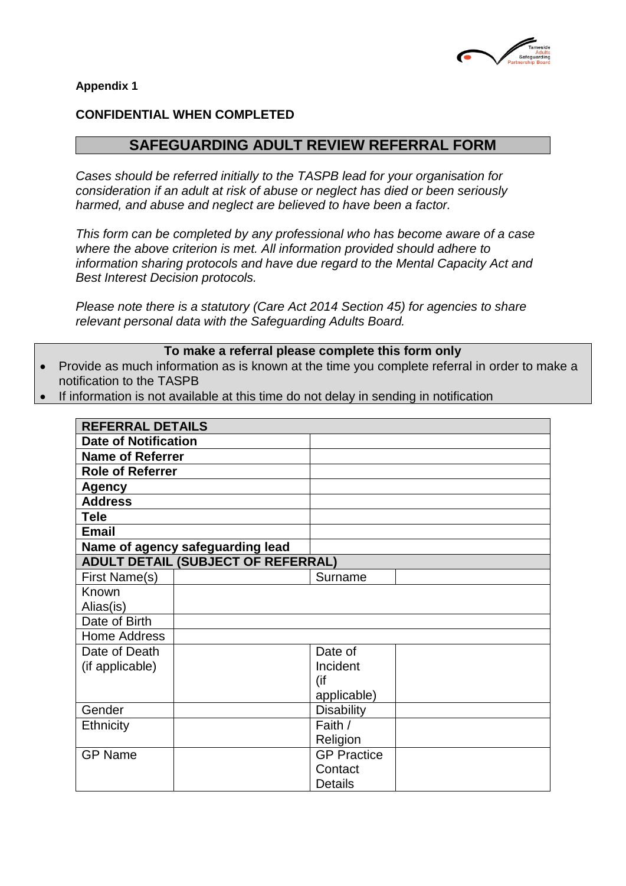

**Appendix 1** 

### **CONFIDENTIAL WHEN COMPLETED**

# **SAFEGUARDING ADULT REVIEW REFERRAL FORM**

*Cases should be referred initially to the TASPB lead for your organisation for consideration if an adult at risk of abuse or neglect has died or been seriously harmed, and abuse and neglect are believed to have been a factor.*

*This form can be completed by any professional who has become aware of a case where the above criterion is met. All information provided should adhere to information sharing protocols and have due regard to the Mental Capacity Act and Best Interest Decision protocols.*

*Please note there is a statutory (Care Act 2014 Section 45) for agencies to share relevant personal data with the Safeguarding Adults Board.*

#### **To make a referral please complete this form only**

- Provide as much information as is known at the time you complete referral in order to make a notification to the TASPB
- If information is not available at this time do not delay in sending in notification

| <b>REFERRAL DETAILS</b>                   |                    |  |
|-------------------------------------------|--------------------|--|
| <b>Date of Notification</b>               |                    |  |
| <b>Name of Referrer</b>                   |                    |  |
| <b>Role of Referrer</b>                   |                    |  |
| Agency                                    |                    |  |
| <b>Address</b>                            |                    |  |
| <b>Tele</b>                               |                    |  |
| <b>Email</b>                              |                    |  |
| Name of agency safeguarding lead          |                    |  |
| <b>ADULT DETAIL (SUBJECT OF REFERRAL)</b> |                    |  |
| First Name(s)                             | Surname            |  |
| Known                                     |                    |  |
| Alias(is)                                 |                    |  |
| Date of Birth                             |                    |  |
| <b>Home Address</b>                       |                    |  |
| Date of Death                             | Date of            |  |
| (if applicable)                           | Incident           |  |
|                                           | (if                |  |
|                                           | applicable)        |  |
| Gender                                    | <b>Disability</b>  |  |
| <b>Ethnicity</b>                          | Faith /            |  |
|                                           | Religion           |  |
| <b>GP Name</b>                            | <b>GP Practice</b> |  |
|                                           | Contact            |  |
|                                           | <b>Details</b>     |  |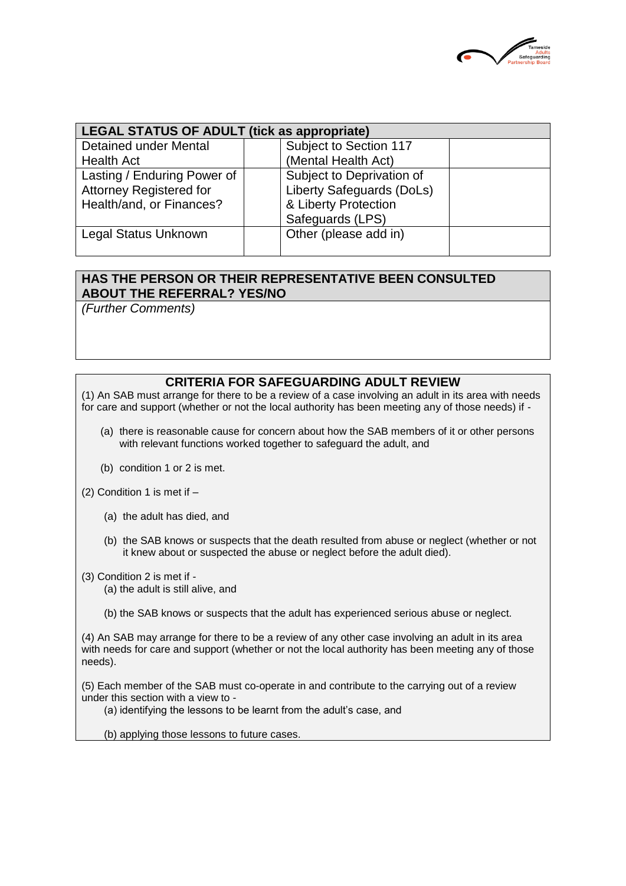

| <b>LEGAL STATUS OF ADULT (tick as appropriate)</b> |                                  |  |  |
|----------------------------------------------------|----------------------------------|--|--|
| <b>Detained under Mental</b>                       | Subject to Section 117           |  |  |
| <b>Health Act</b>                                  | (Mental Health Act)              |  |  |
| Lasting / Enduring Power of                        | Subject to Deprivation of        |  |  |
| <b>Attorney Registered for</b>                     | <b>Liberty Safeguards (DoLs)</b> |  |  |
| Health/and, or Finances?                           | & Liberty Protection             |  |  |
|                                                    | Safeguards (LPS)                 |  |  |
| Legal Status Unknown                               | Other (please add in)            |  |  |
|                                                    |                                  |  |  |

#### **HAS THE PERSON OR THEIR REPRESENTATIVE BEEN CONSULTED ABOUT THE REFERRAL? YES/NO**

*(Further Comments)*

### **CRITERIA FOR SAFEGUARDING ADULT REVIEW**

(1) An SAB must arrange for there to be a review of a case involving an adult in its area with needs for care and support (whether or not the local authority has been meeting any of those needs) if -

- (a) there is reasonable cause for concern about how the SAB members of it or other persons with relevant functions worked together to safeguard the adult, and
- (b) condition 1 or 2 is met.
- (2) Condition 1 is met if
	- (a) the adult has died, and
	- (b) the SAB knows or suspects that the death resulted from abuse or neglect (whether or not it knew about or suspected the abuse or neglect before the adult died).
- (3) Condition 2 is met if (a) the adult is still alive, and
	- (b) the SAB knows or suspects that the adult has experienced serious abuse or neglect.

(4) An SAB may arrange for there to be a review of any other case involving an adult in its area with needs for care and support (whether or not the local authority has been meeting any of those needs).

(5) Each member of the SAB must co-operate in and contribute to the carrying out of a review under this section with a view to -

- (a) identifying the lessons to be learnt from the adult's case, and
- (b) applying those lessons to future cases.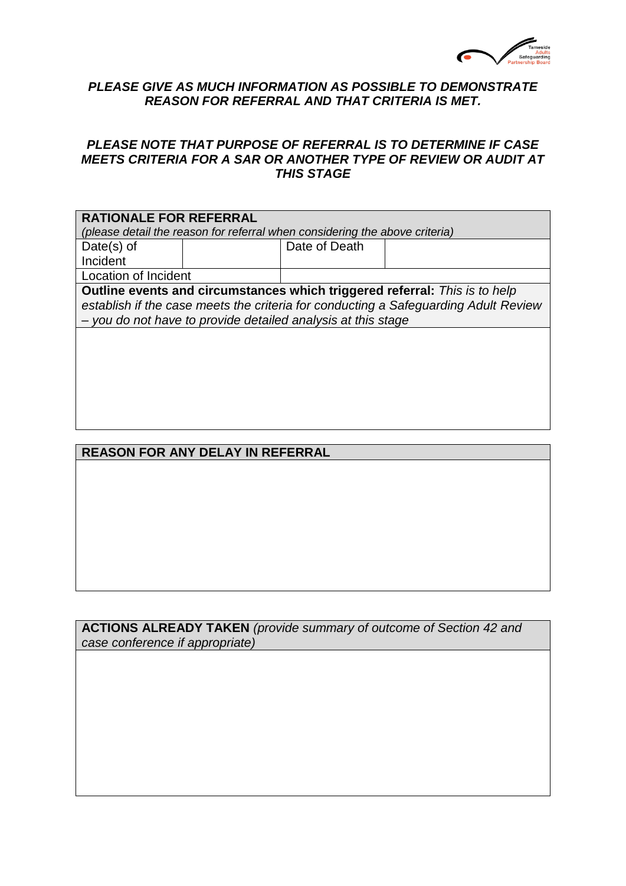

### *PLEASE GIVE AS MUCH INFORMATION AS POSSIBLE TO DEMONSTRATE REASON FOR REFERRAL AND THAT CRITERIA IS MET.*

### *PLEASE NOTE THAT PURPOSE OF REFERRAL IS TO DETERMINE IF CASE MEETS CRITERIA FOR A SAR OR ANOTHER TYPE OF REVIEW OR AUDIT AT THIS STAGE*

| <b>RATIONALE FOR REFERRAL</b><br>(please detail the reason for referral when considering the above criteria)                                                                                                                      |  |               |  |
|-----------------------------------------------------------------------------------------------------------------------------------------------------------------------------------------------------------------------------------|--|---------------|--|
| Date $(s)$ of<br>Incident                                                                                                                                                                                                         |  | Date of Death |  |
| Location of Incident                                                                                                                                                                                                              |  |               |  |
| Outline events and circumstances which triggered referral: This is to help<br>establish if the case meets the criteria for conducting a Safeguarding Adult Review<br>- you do not have to provide detailed analysis at this stage |  |               |  |
|                                                                                                                                                                                                                                   |  |               |  |

## **REASON FOR ANY DELAY IN REFERRAL**

**ACTIONS ALREADY TAKEN** *(provide summary of outcome of Section 42 and case conference if appropriate)*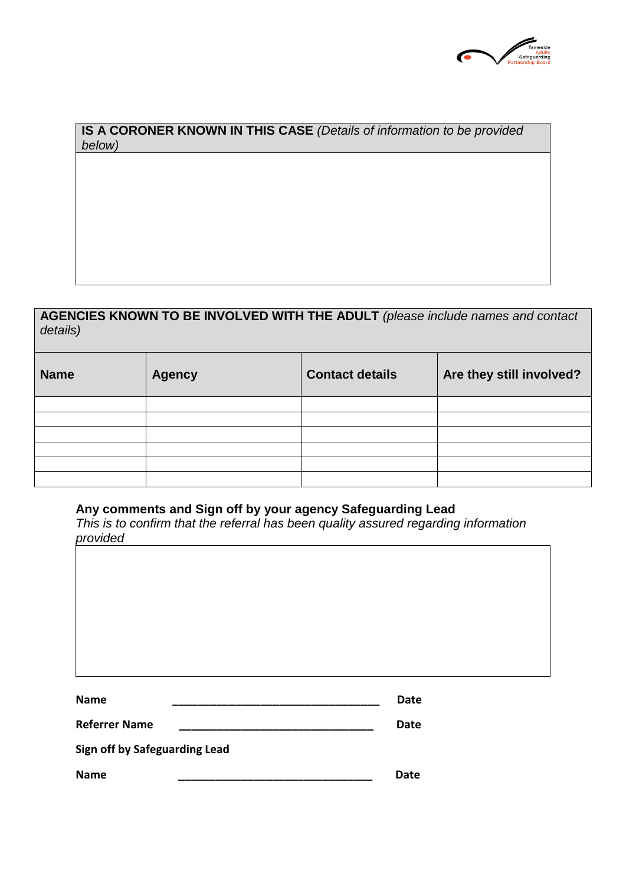

## **IS A CORONER KNOWN IN THIS CASE** *(Details of information to be provided below)*

## **AGENCIES KNOWN TO BE INVOLVED WITH THE ADULT** *(please include names and contact details)*

| <b>Name</b> | <b>Agency</b> | <b>Contact details</b> | Are they still involved? |
|-------------|---------------|------------------------|--------------------------|
|             |               |                        |                          |
|             |               |                        |                          |
|             |               |                        |                          |
|             |               |                        |                          |
|             |               |                        |                          |
|             |               |                        |                          |

#### **Any comments and Sign off by your agency Safeguarding Lead**

*This is to confirm that the referral has been quality assured regarding information provided*

| -----                         |             |
|-------------------------------|-------------|
|                               |             |
|                               |             |
|                               |             |
|                               |             |
|                               |             |
|                               |             |
| <b>Name</b>                   | <b>Date</b> |
| <b>Referrer Name</b>          | <b>Date</b> |
| Sign off by Safeguarding Lead |             |
| <b>Name</b>                   | <b>Date</b> |
|                               |             |